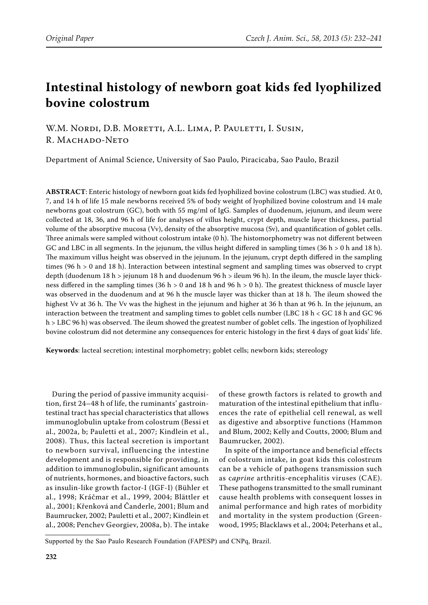# **Intestinal histology of newborn goat kids fed lyophilized bovine colostrum**

W.M. NORDI, D.B. MORETTI, A.L. LIMA, P. PAULETTI, I. SUSIN, R. MACHADO-NETO

Department of Animal Science, University of Sao Paulo, Piracicaba, Sao Paulo, Brazil

**ABSTRACT**: Enteric histology of newborn goat kids fed lyophilized bovine colostrum (LBC) was studied. At 0, 7, and 14 h of life 15 male newborns received 5% of body weight of lyophilized bovine colostrum and 14 male newborns goat colostrum (GC), both with 55 mg/ml of IgG. Samples of duodenum, jejunum, and ileum were collected at 18, 36, and 96 h of life for analyses of villus height, crypt depth, muscle layer thickness, partial volume of the absorptive mucosa (Vv), density of the absorptive mucosa (Sv), and quantification of goblet cells. Three animals were sampled without colostrum intake (0 h). The histomorphometry was not different between GC and LBC in all segments. In the jejunum, the villus height differed in sampling times  $(36 h > 0 h$  and 18 h). The maximum villus height was observed in the jejunum. In the jejunum, crypt depth differed in the sampling times (96 h > 0 and 18 h). Interaction between intestinal segment and sampling times was observed to crypt depth (duodenum 18 h > jejunum 18 h and duodenum 96 h > ileum 96 h). In the ileum, the muscle layer thickness differed in the sampling times (36 h > 0 and 18 h and 96 h > 0 h). The greatest thickness of muscle layer was observed in the duodenum and at 96 h the muscle layer was thicker than at 18 h. The ileum showed the highest Vv at 36 h. The Vv was the highest in the jejunum and higher at 36 h than at 96 h. In the jejunum, an interaction between the treatment and sampling times to goblet cells number (LBC 18 h < GC 18 h and GC 96 h > LBC 96 h) was observed. The ileum showed the greatest number of goblet cells. The ingestion of lyophilized bovine colostrum did not determine any consequences for enteric histology in the first 4 days of goat kids' life.

**Keywords**: lacteal secretion; intestinal morphometry; goblet cells; newborn kids; stereology

During the period of passive immunity acquisition, first 24–48 h of life, the ruminants' gastrointestinal tract has special characteristics that allows immunoglobulin uptake from colostrum (Bessi et al., 2002a, b; Pauletti et al., 2007; Kindlein et al., 2008). Thus, this lacteal secretion is important to newborn survival, influencing the intestine development and is responsible for providing, in addition to immunoglobulin, significant amounts of nutrients, hormones, and bioactive factors, such as insulin-like growth factor-I (IGF-I) (Bühler et al., 1998; Kráčmar et al., 1999, 2004; Blättler et al., 2001; Křenková and Čanderle, 2001; Blum and Baumrucker, 2002; Pauletti et al., 2007; Kindlein et al., 2008; Penchev Georgiev, 2008a, b). The intake

of these growth factors is related to growth and maturation of the intestinal epithelium that influences the rate of epithelial cell renewal, as well as digestive and absorptive functions (Hammon and Blum, 2002; Kelly and Coutts, 2000; Blum and Baumrucker, 2002).

In spite of the importance and beneficial effects of colostrum intake, in goat kids this colostrum can be a vehicle of pathogens transmission such as c*aprine* arthritis-encephalitis viruses (CAE). These pathogens transmitted to the small ruminant cause health problems with consequent losses in animal performance and high rates of morbidity and mortality in the system production (Greenwood, 1995; Blacklaws et al., 2004; Peterhans et al.,

Supported by the Sao Paulo Research Foundation (FAPESP) and CNPq, Brazil.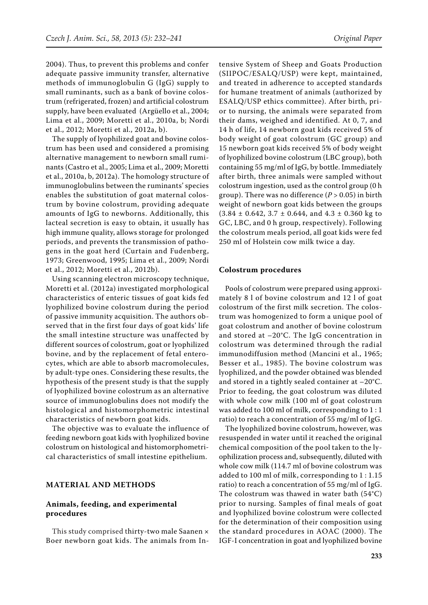2004). Thus, to prevent this problems and confer adequate passive immunity transfer, alternative methods of immunoglobulin G (IgG) supply to small ruminants, such as a bank of bovine colostrum (refrigerated, frozen) and artificial colostrum supply, have been evaluated (Argüello et al., 2004; Lima et al., 2009; Moretti et al., 2010a, b; Nordi et al., 2012; Moretti et al., 2012a, b).

The supply of lyophilized goat and bovine colostrum has been used and considered a promising alternative management to newborn small ruminants (Castro et al., 2005; Lima et al., 2009; Moretti et al., 2010a, b, 2012a). The homology structure of immunoglobulins between the ruminants' species enables the substitution of goat maternal colostrum by bovine colostrum, providing adequate amounts of IgG to newborns. Additionally, this lacteal secretion is easy to obtain, it usually has high immune quality, allows storage for prolonged periods, and prevents the transmission of pathogens in the goat herd (Curtain and Fudenberg, 1973; Greenwood, 1995; Lima et al., 2009; Nordi et al., 2012; Moretti et al., 2012b).

Using scanning electron microscopy technique, Moretti et al. (2012a) investigated morphological characteristics of enteric tissues of goat kids fed lyophilized bovine colostrum during the period of passive immunity acquisition. The authors observed that in the first four days of goat kids' life the small intestine structure was unaffected by different sources of colostrum, goat or lyophilized bovine, and by the replacement of fetal enterocytes, which are able to absorb macromolecules, by adult-type ones. Considering these results, the hypothesis of the present study is that the supply of lyophilized bovine colostrum as an alternative source of immunoglobulins does not modify the histological and histomorphometric intestinal characteristics of newborn goat kids.

The objective was to evaluate the influence of feeding newborn goat kids with lyophilized bovine colostrum on histological and histomorphometrical characteristics of small intestine epithelium.

#### **MATERIAL AND METHODS**

### **Animals, feeding, and experimental procedures**

This study comprised thirty-two male Saanen × Boer newborn goat kids. The animals from Intensive System of Sheep and Goats Production (SIIPOC/ESALQ/USP) were kept, maintained, and treated in adherence to accepted standards for humane treatment of animals (authorized by ESALQ/USP ethics committee). After birth, prior to nursing, the animals were separated from their dams, weighed and identified. At 0, 7, and 14 h of life, 14 newborn goat kids received 5% of body weight of goat colostrum (GC group) and 15 newborn goat kids received 5% of body weight of lyophilized bovine colostrum (LBC group), both containing 55 mg/ml of IgG, by bottle. Immediately after birth, three animals were sampled without colostrum ingestion, used as the control group (0 h group). There was no difference  $(P > 0.05)$  in birth weight of newborn goat kids between the groups  $(3.84 \pm 0.642, 3.7 \pm 0.644, \text{ and } 4.3 \pm 0.360 \text{ kg to})$ GC, LBC, and 0 h group, respectively). Following the colostrum meals period, all goat kids were fed 250 ml of Holstein cow milk twice a day.

### **Colostrum procedures**

Pools of colostrum were prepared using approximately 8 l of bovine colostrum and 12 l of goat colostrum of the first milk secretion. The colostrum was homogenized to form a unique pool of goat colostrum and another of bovine colostrum and stored at –20°C. The IgG concentration in colostrum was determined through the radial immunodiffusion method (Mancini et al., 1965; Besser et al., 1985). The bovine colostrum was lyophilized, and the powder obtained was blended and stored in a tightly sealed container at –20°C. Prior to feeding, the goat colostrum was diluted with whole cow milk (100 ml of goat colostrum was added to 100 ml of milk, corresponding to 1 : 1 ratio) to reach a concentration of 55 mg/ml of IgG.

The lyophilized bovine colostrum, however, was resuspended in water until it reached the original chemical composition of the pool taken to the lyophilization process and, subsequently, diluted with whole cow milk (114.7 ml of bovine colostrum was added to 100 ml of milk, corresponding to 1 : 1.15 ratio) to reach a concentration of 55 mg/ml of IgG. The colostrum was thawed in water bath (54°C) prior to nursing. Samples of final meals of goat and lyophilized bovine colostrum were collected for the determination of their composition using the standard procedures in AOAC (2000). The IGF-I concentration in goat and lyophilized bovine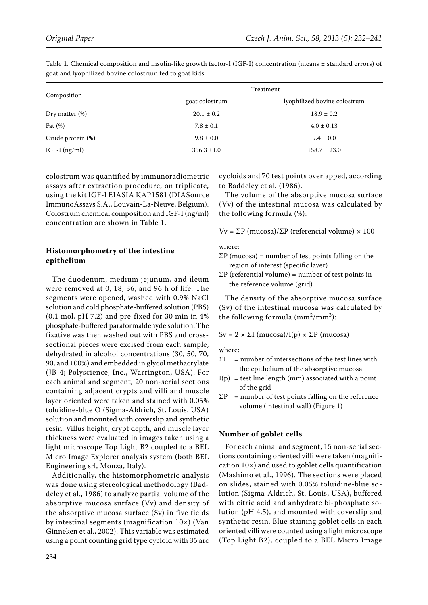|                   | Treatment       |                              |  |  |  |
|-------------------|-----------------|------------------------------|--|--|--|
| Composition       | goat colostrum  | lyophilized bovine colostrum |  |  |  |
| Dry matter $(\%)$ | $20.1 \pm 0.2$  | $18.9 \pm 0.2$               |  |  |  |
| Fat $(\%)$        | $7.8 \pm 0.1$   | $4.0 \pm 0.13$               |  |  |  |
| Crude protein (%) | $9.8 \pm 0.0$   | $9.4 \pm 0.0$                |  |  |  |
| IGF-I $(ng/ml)$   | $356.3 \pm 1.0$ | $158.7 \pm 23.0$             |  |  |  |

Table 1. Chemical composition and insulin-like growth factor-I (IGF-I) concentration (means ± standard errors) of goat and lyophilized bovine colostrum fed to goat kids

colostrum was quantified by immunoradiometric assays after extraction procedure, on triplicate, using the kit IGF-I EIASIA KAP1581 (DIASource ImmunoAssays S.A., Louvain-La-Neuve, Belgium). Colostrum chemical composition and IGF-I (ng/ml) concentration are shown in Table 1.

# **Histomorphometry of the intestine epithelium**

The duodenum, medium jejunum, and ileum were removed at 0, 18, 36, and 96 h of life. The segments were opened, washed with 0.9% NaCl solution and cold phosphate-buffered solution (PBS) (0.1 mol, pH 7.2) and pre-fixed for 30 min in 4% phosphate-buffered paraformaldehyde solution. The fixative was then washed out with PBS and crosssectional pieces were excised from each sample, dehydrated in alcohol concentrations (30, 50, 70, 90, and 100%) and embedded in glycol methacrylate (JB-4; Polyscience, Inc., Warrington, USA). For each animal and segment, 20 non-serial sections containing adjacent crypts and villi and muscle layer oriented were taken and stained with 0.05% toluidine-blue O (Sigma-Aldrich, St. Louis, USA) solution and mounted with coverslip and synthetic resin. Villus height, crypt depth, and muscle layer thickness were evaluated in images taken using a light microscope Top Light B2 coupled to a BEL Micro Image Explorer analysis system (both BEL Engineering srl, Monza, Italy).

Additionally, the histomorphometric analysis was done using stereological methodology (Baddeley et al., 1986) to analyze partial volume of the absorptive mucosa surface (Vv) and density of the absorptive mucosa surface (Sv) in five fields by intestinal segments (magnification 10×) (Van Ginneken et al., 2002). This variable was estimated using a point counting grid type cycloid with 35 arc

cycloids and 70 test points overlapped, according to Baddeley et al*.* (1986).

The volume of the absorptive mucosa surface (Vv) of the intestinal mucosa was calculated by the following formula (%):

Vv = ΣP (mucosa)/ΣP (referencial volume) × 100

where:

- $\Sigma P$  (mucosa) = number of test points falling on the region of interest (specific layer)
- $\Sigma P$  (referential volume) = number of test points in the reference volume (grid)

The density of the absorptive mucosa surface (Sv) of the intestinal mucosa was calculated by the following formula  $(mm^2/mm^3)$ :

Sv = 2 **×** ΣI (mucosa)/I(p) **×** ΣP (mucosa)

where:

- ΣI *=* number of intersections of the test lines with the epithelium of the absorptive mucosa
- $I(p)$  = test line length (mm) associated with a point of the grid
- $\Sigma P$  = number of test points falling on the reference volume (intestinal wall) (Figure 1)

# **Number of goblet cells**

For each animal and segment, 15 non-serial sections containing oriented villi were taken (magnification 10×) and used to goblet cells quantification (Mashimo et al., 1996). The sections were placed on slides, stained with 0.05% toluidine-blue solution (Sigma-Aldrich, St. Louis, USA), buffered with citric acid and anhydrate bi-phosphate solution (pH 4.5), and mounted with coverslip and synthetic resin. Blue staining goblet cells in each oriented villi were counted using a light microscope (Top Light B2), coupled to a BEL Micro Image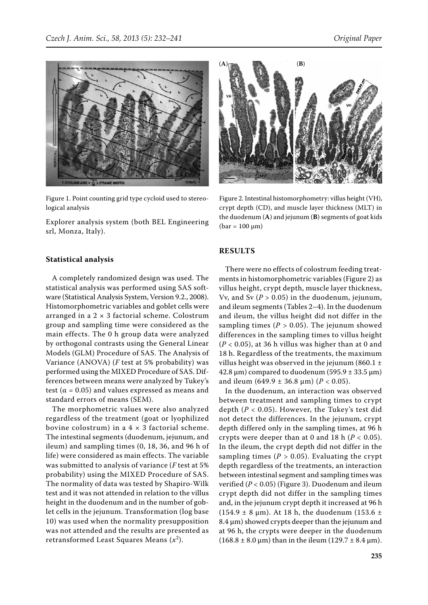

Figure 1. Point counting grid type cycloid used to stereological analysis

Explorer analysis system (both BEL Engineering srl, Monza, Italy).



A completely randomized design was used. The statistical analysis was performed using SAS software (Statistical Analysis System, Version 9.2., 2008). Histomorphometric variables and goblet cells were arranged in a  $2 \times 3$  factorial scheme. Colostrum group and sampling time were considered as the main effects. The 0 h group data were analyzed by orthogonal contrasts using the General Linear Models (GLM) Procedure of SAS. The Analysis of Variance (ANOVA) (*F* test at 5% probability) was performed using the MIXED Procedure of SAS. Differences between means were analyzed by Tukey's test ( $\alpha$  = 0.05) and values expressed as means and standard errors of means (SEM).

The morphometric values were also analyzed regardless of the treatment (goat or lyophilized bovine colostrum) in a  $4 \times 3$  factorial scheme. The intestinal segments (duodenum, jejunum, and ileum) and sampling times (0, 18, 36, and 96 h of life) were considered as main effects. The variable was submitted to analysis of variance (*F* test at 5% probability) using the MIXED Procedure of SAS. The normality of data was tested by Shapiro-Wilk test and it was not attended in relation to the villus height in the duodenum and in the number of goblet cells in the jejunum. Transformation (log base 10) was used when the normality presupposition was not attended and the results are presented as retransformed Least Squares Means (*x*<sup>2</sup> ).



Figure 2. Intestinal histomorphometry: villus height (VH), crypt depth (CD), and muscle layer thickness (MLT) in the duodenum (**A**) and jejunum (**B**) segments of goat kids  $(bar = 100 \mu m)$ 

### **RESULTS**

There were no effects of colostrum feeding treatments in histomorphometric variables (Figure 2) as villus height, crypt depth, muscle layer thickness, Vv, and Sv  $(P > 0.05)$  in the duodenum, jejunum, and ileum segments (Tables 2–4). In the duodenum and ileum, the villus height did not differ in the sampling times (*P >* 0.05). The jejunum showed differences in the sampling times to villus height  $(P < 0.05)$ , at 36 h villus was higher than at 0 and 18 h. Regardless of the treatments, the maximum villus height was observed in the jejunum (860.1  $\pm$ 42.8  $\mu$ m) compared to duodenum (595.9 ± 33.5  $\mu$ m) and ileum (649.9 ± 36.8 µm) (*P* < 0.05).

In the duodenum, an interaction was observed between treatment and sampling times to crypt depth (*P* < 0.05). However, the Tukey's test did not detect the differences. In the jejunum, crypt depth differed only in the sampling times, at 96 h crypts were deeper than at 0 and 18 h  $(P < 0.05)$ . In the ileum, the crypt depth did not differ in the sampling times ( $P > 0.05$ ). Evaluating the crypt depth regardless of the treatments, an interaction between intestinal segment and sampling times was verified (*P <* 0.05) (Figure 3). Duodenum and ileum crypt depth did not differ in the sampling times and, in the jejunum crypt depth it increased at 96 h  $(154.9 \pm 8 \text{ }\mu\text{m})$ . At 18 h, the duodenum  $(153.6 \pm 1)$ 8.4 μm) showed crypts deeper than the jejunum and at 96 h, the crypts were deeper in the duodenum  $(168.8 \pm 8.0 \,\text{\mu m})$  than in the ileum  $(129.7 \pm 8.4 \,\text{\mu m})$ .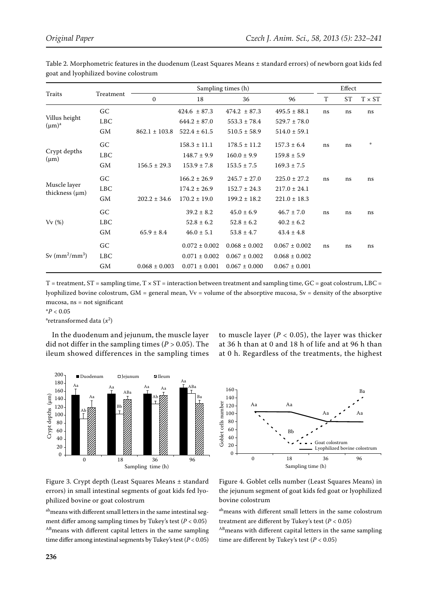| Traits                              | Treatment  | Sampling times (h) |                   |                   |                   | Effect |           |               |
|-------------------------------------|------------|--------------------|-------------------|-------------------|-------------------|--------|-----------|---------------|
|                                     |            | $\mathbf{0}$       | 18                | 36                | 96                | T      | <b>ST</b> | $T \times ST$ |
| Villus height<br>$(\mu m)^a$        | GC         |                    | $424.6 \pm 87.3$  | $474.2 \pm 87.3$  | $495.5 \pm 88.1$  | ns     | ns        | ns            |
|                                     | <b>LBC</b> |                    | $644.2 \pm 87.0$  | $553.3 \pm 78.4$  | $529.7 \pm 78.0$  |        |           |               |
|                                     | GM         | $862.1 \pm 103.8$  | $522.4 \pm 61.5$  | $510.5 \pm 58.9$  | $514.0 \pm 59.1$  |        |           |               |
| Crypt depths<br>$(\mu m)$           | GC         |                    | $158.3 \pm 11.1$  | $178.5 \pm 11.2$  | $157.3 \pm 6.4$   | ns     | ns        | *             |
|                                     | <b>LBC</b> |                    | $148.7 \pm 9.9$   | $160.0 \pm 9.9$   | $159.8 \pm 5.9$   |        |           |               |
|                                     | GM         | $156.5 \pm 29.3$   | $153.9 \pm 7.8$   | $153.5 \pm 7.5$   | $169.3 \pm 7.5$   |        |           |               |
| Muscle layer<br>thickness $(\mu m)$ | GC         |                    | $166.2 \pm 26.9$  | $245.7 \pm 27.0$  | $225.0 \pm 27.2$  | ns     | ns        | ns            |
|                                     | <b>LBC</b> |                    | $174.2 \pm 26.9$  | $152.7 \pm 24.3$  | $217.0 \pm 24.1$  |        |           |               |
|                                     | <b>GM</b>  | $202.2 \pm 34.6$   | $170.2 \pm 19.0$  | $199.2 \pm 18.2$  | $221.0 \pm 18.3$  |        |           |               |
| Vv(%)                               | <b>GC</b>  |                    | $39.2 \pm 8.2$    | $45.0 \pm 6.9$    | $46.7 \pm 7.0$    | ns     | ns        | ns            |
|                                     | <b>LBC</b> |                    | $52.8 \pm 6.2$    | $52.8 \pm 6.2$    | $40.2 \pm 6.2$    |        |           |               |
|                                     | <b>GM</b>  | $65.9 \pm 8.4$     | $46.0 \pm 5.1$    | $53.8 \pm 4.7$    | $43.4 \pm 4.8$    |        |           |               |
| Sv $\rm (mm^2/mm^3)$                | GC         |                    | $0.072 \pm 0.002$ | $0.068 \pm 0.002$ | $0.067 \pm 0.002$ | ns     | ns        | ns            |
|                                     | <b>LBC</b> |                    | $0.071 \pm 0.002$ | $0.067 \pm 0.002$ | $0.068 \pm 0.002$ |        |           |               |
|                                     | <b>GM</b>  | $0.068 \pm 0.003$  | $0.071 \pm 0.001$ | $0.067 \pm 0.000$ | $0.067 \pm 0.001$ |        |           |               |

Table 2. Morphometric features in the duodenum (Least Squares Means ± standard errors) of newborn goat kids fed goat and lyophilized bovine colostrum

 $T =$  treatment,  $ST =$  sampling time,  $T \times ST =$  interaction between treatment and sampling time,  $GC =$  goat colostrum, LBC = lyophilized bovine colostrum,  $GM =$  general mean,  $Vv =$  volume of the absorptive mucosa,  $Sv =$  density of the absorptive mucosa, ns = not significant

\**P* < 0.05

<sup>a</sup>retransformed data (*x*<sup>2</sup>)

In the duodenum and jejunum, the muscle layer did not differ in the sampling times (*P >* 0.05). The ileum showed differences in the sampling times to muscle layer  $(P < 0.05)$ , the layer was thicker at 36 h than at 0 and 18 h of life and at 96 h than at 0 h. Regardless of the treatments, the highest



Figure 3. Crypt depth (Least Squares Means ± standard errors) in small intestinal segments of goat kids fed lyophilized bovine or goat colostrum

ab<sub>means</sub> with different small letters in the same intestinal segment differ among sampling times by Tukey's test (*P* < 0.05) AB<sub>means</sub> with different capital letters in the same sampling time differ among intestinal segments by Tukey's test (*P* < 0.05)



Figure 4. Goblet cells number (Least Squares Means) in the jejunum segment of goat kids fed goat or lyophilized bovine colostrum

abmeans with different small letters in the same colostrum treatment are different by Tukey's test (*P* < 0.05)

ABmeans with different capital letters in the same sampling time are different by Tukey's test ( $P < 0.05$ )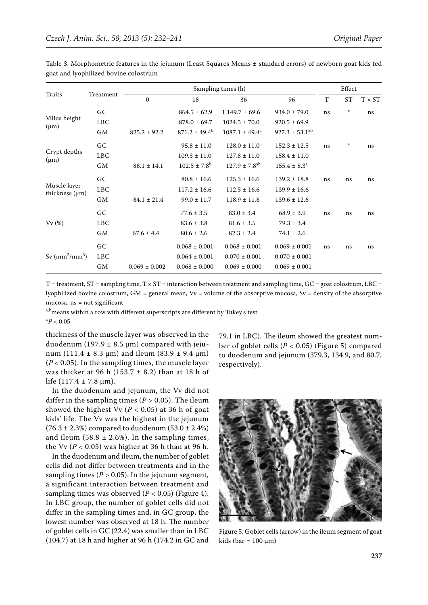| Traits                              | Treatment  | Sampling times (h) |                          |                               |                                | Effect |               |               |
|-------------------------------------|------------|--------------------|--------------------------|-------------------------------|--------------------------------|--------|---------------|---------------|
|                                     |            | $\mathbf{0}$       | 18                       | 36                            | 96                             | T      | <b>ST</b>     | $T \times ST$ |
| Villus height<br>$(\mu m)$          | GC         |                    | $864.5 \pm 62.9$         | $1.149.7 \pm 69.6$            | $934.0 \pm 79.0$               | ns     | $\pm$         | ns            |
|                                     | <b>LBC</b> |                    | $878.0 \pm 69.7$         | $1024.5 \pm 70.0$             | $920.5 \pm 69.9$               |        |               |               |
|                                     | <b>GM</b>  | $825.2 \pm 92.2$   | $871.2 \pm 49.4^{\rm b}$ | $1087.1 \pm 49.4^a$           | $927.3 \pm 53.1$ <sup>ab</sup> |        |               |               |
| Crypt depths<br>$(\mu m)$           | GC         |                    | $95.8 \pm 11.0$          | $128.0 \pm 11.0$              | $152.3 \pm 12.5$               | ns     | $\frac{1}{2}$ | ns            |
|                                     | <b>LBC</b> |                    | $109.3 \pm 11.0$         | $127.8 \pm 11.0$              | $158.4 \pm 11.0$               |        |               |               |
|                                     | <b>GM</b>  | $88.1 \pm 14.1$    | $102.5 \pm 7.8^{\rm b}$  | $127.9 \pm 7.8$ <sup>ab</sup> | $155.4 \pm 8.3^a$              |        |               |               |
| Muscle layer<br>thickness $(\mu m)$ | GC         |                    | $80.8 \pm 16.6$          | $125.3 \pm 16.6$              | $139.2 \pm 18.8$               | ns     | ns            | ns            |
|                                     | <b>LBC</b> |                    | $117.2 \pm 16.6$         | $112.5 \pm 16.6$              | $139.9 \pm 16.6$               |        |               |               |
|                                     | <b>GM</b>  | $84.1 \pm 21.4$    | $99.0 \pm 11.7$          | $118.9 \pm 11.8$              | $139.6 \pm 12.6$               |        |               |               |
| Vv(%)                               | GC         |                    | $77.6 \pm 3.5$           | $83.0 \pm 3.4$                | $68.9 \pm 3.9$                 | ns     | ns            | ns            |
|                                     | <b>LBC</b> |                    | $83.6 \pm 3.8$           | $81.6 \pm 3.5$                | $79.3 \pm 3.4$                 |        |               |               |
|                                     | <b>GM</b>  | $67.6 \pm 4.4$     | $80.6 \pm 2.6$           | $82.3 \pm 2.4$                | $74.1 \pm 2.6$                 |        |               |               |
| Sv $(mm^2/mm^3)$                    | GC         |                    | $0.068 \pm 0.001$        | $0.068 \pm 0.001$             | $0.069 \pm 0.001$              | ns     | ns            | ns            |
|                                     | <b>LBC</b> |                    | $0.064 \pm 0.001$        | $0.070 \pm 0.001$             | $0.070 \pm 0.001$              |        |               |               |
|                                     | GM         | $0.069 \pm 0.002$  | $0.068 \pm 0.000$        | $0.069 \pm 0.000$             | $0.069 \pm 0.001$              |        |               |               |

Table 3. Morphometric features in the jejunum (Least Squares Means ± standard errors) of newborn goat kids fed goat and lyophilized bovine colostrum

 $T =$  treatment,  $ST =$  sampling time,  $T \times ST =$  interaction between treatment and sampling time,  $GC =$  goat colostrum, LBC = lyophilized bovine colostrum, GM = general mean, Vv = volume of the absorptive mucosa, Sv = density of the absorptive mucosa, ns = not significant

a,b<sub>means</sub> within a row with different superscripts are different by Tukey's test

\**P* < 0.05

thickness of the muscle layer was observed in the duodenum (197.9  $\pm$  8.5 µm) compared with jejunum (111.4  $\pm$  8.3 µm) and ileum (83.9  $\pm$  9.4 µm)  $(P < 0.05)$ . In the sampling times, the muscle layer was thicker at 96 h (153.7  $\pm$  8.2) than at 18 h of life  $(117.4 \pm 7.8 \text{ µm})$ .

In the duodenum and jejunum, the Vv did not differ in the sampling times  $(P > 0.05)$ . The ileum showed the highest Vv (*P* < 0.05) at 36 h of goat kids' life. The Vv was the highest in the jejunum  $(76.3 \pm 2.3%)$  compared to duodenum  $(53.0 \pm 2.4%)$ and ileum  $(58.8 \pm 2.6\%)$ . In the sampling times, the Vv  $(P < 0.05)$  was higher at 36 h than at 96 h.

In the duodenum and ileum, the number of goblet cells did not differ between treatments and in the sampling times ( $P > 0.05$ ). In the jejunum segment, a significant interaction between treatment and sampling times was observed  $(P < 0.05)$  (Figure 4). In LBC group, the number of goblet cells did not differ in the sampling times and, in GC group, the lowest number was observed at 18 h. The number of goblet cells in GC (22.4) was smaller than in LBC (104.7) at 18 h and higher at 96 h (174.2 in GC and 79.1 in LBC). The ileum showed the greatest number of goblet cells (*P* < 0.05) (Figure 5) compared to duodenum and jejunum (379.3, 134.9, and 80.7, respectively).



Figure 5. Goblet cells (arrow) in the ileum segment of goat kids (bar =  $100 \mu m$ )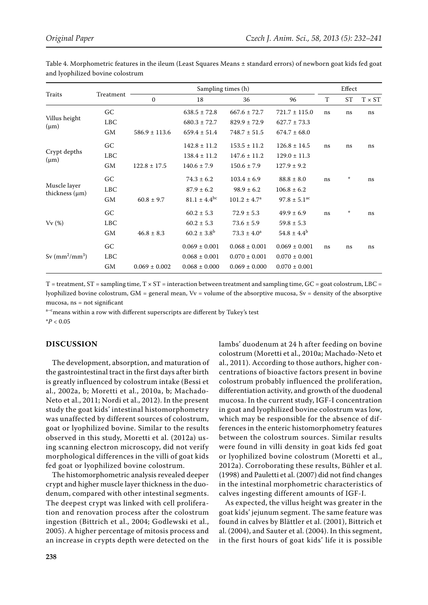| Traits                     |            | Sampling times (h) |                         |                            | Effect                       |    |           |               |
|----------------------------|------------|--------------------|-------------------------|----------------------------|------------------------------|----|-----------|---------------|
|                            | Treatment  | $\mathbf{0}$       | 18                      | 36                         | 96                           | T  | <b>ST</b> | $T \times ST$ |
| Villus height<br>$(\mu m)$ | GC         |                    | $638.5 \pm 72.8$        | $667.6 \pm 72.7$           | $721.7 \pm 115.0$            | ns | ns        | ns            |
|                            | <b>LBC</b> |                    | $680.3 \pm 72.7$        | $829.9 \pm 72.9$           | $627.7 \pm 73.3$             |    |           |               |
|                            | GM         | $586.9 \pm 113.6$  | $659.4 \pm 51.4$        | $748.7 \pm 51.5$           | $674.7 \pm 68.0$             |    |           |               |
|                            | GC         |                    | $142.8 \pm 11.2$        | $153.5 \pm 11.2$           | $126.8 \pm 14.5$             | ns | ns        | ns            |
| Crypt depths<br>$(\mu m)$  | <b>LBC</b> |                    | $138.4 \pm 11.2$        | $147.6 \pm 11.2$           | $129.0 \pm 11.3$             |    |           |               |
|                            | GМ         | $122.8 \pm 17.5$   | $140.6 \pm 7.9$         | $150.6 \pm 7.9$            | $127.9 \pm 9.2$              |    |           |               |
|                            | GC         |                    | $74.3 \pm 6.2$          | $103.4 \pm 6.9$            | $88.8 \pm 8.0$               | ns | ÷         | ns            |
| Muscle layer               | <b>LBC</b> |                    | $87.9 \pm 6.2$          | $98.9 \pm 6.2$             | $106.8 \pm 6.2$              |    |           |               |
| thickness $(\mu m)$        | <b>GM</b>  | $60.8 \pm 9.7$     | $81.1 \pm 4.4^{\rm bc}$ | $101.2 \pm 4.7^{\text{a}}$ | $97.8 \pm 5.1$ <sup>ac</sup> |    |           |               |
| Vv(%)                      | GC         |                    | $60.2 \pm 5.3$          | $72.9 \pm 5.3$             | $49.9 \pm 6.9$               | ns | $\ast$    | ns            |
|                            | <b>LBC</b> |                    | $60.2 \pm 5.3$          | $73.6 \pm 5.9$             | $59.8 \pm 5.3$               |    |           |               |
|                            | GM         | $46.8 \pm 8.3$     | $60.2 \pm 3.8^{\rm b}$  | $73.3 \pm 4.0^a$           | $54.8 \pm 4.4^b$             |    |           |               |
| Sv $(mm^2/mm^3)$           | GC         |                    | $0.069 \pm 0.001$       | $0.068 \pm 0.001$          | $0.069 \pm 0.001$            | ns | ns        | ns            |
|                            | <b>LBC</b> |                    | $0.068 \pm 0.001$       | $0.070 \pm 0.001$          | $0.070 \pm 0.001$            |    |           |               |
|                            | GМ         | $0.069 \pm 0.002$  | $0.068 \pm 0.000$       | $0.069 \pm 0.000$          | $0.070 \pm 0.001$            |    |           |               |

Table 4. Morphometric features in the ileum (Least Squares Means ± standard errors) of newborn goat kids fed goat and lyophilized bovine colostrum

 $T =$  treatment,  $ST =$  sampling time,  $T \times ST =$  interaction between treatment and sampling time,  $GC =$  goat colostrum, LBC = lyophilized bovine colostrum, GM = general mean, Vv = volume of the absorptive mucosa, Sv = density of the absorptive mucosa, ns = not significant

a-cmeans within a row with different superscripts are different by Tukey's test

\**P* < 0.05

# **DISCUSSION**

The development, absorption, and maturation of the gastrointestinal tract in the first days after birth is greatly influenced by colostrum intake (Bessi et al., 2002a, b; Moretti et al., 2010a, b; Machado-Neto et al., 2011; Nordi et al., 2012). In the present study the goat kids' intestinal histomorphometry was unaffected by different sources of colostrum, goat or lyophilized bovine. Similar to the results observed in this study, Moretti et al. (2012a) using scanning electron microscopy, did not verify morphological differences in the villi of goat kids fed goat or lyophilized bovine colostrum.

The histomorphometric analysis revealed deeper crypt and higher muscle layer thickness in the duodenum, compared with other intestinal segments. The deepest crypt was linked with cell proliferation and renovation process after the colostrum ingestion (Bittrich et al., 2004; Godlewski et al., 2005). A higher percentage of mitosis process and an increase in crypts depth were detected on the lambs' duodenum at 24 h after feeding on bovine colostrum (Moretti et al., 2010a; Machado-Neto et al., 2011). According to those authors, higher concentrations of bioactive factors present in bovine colostrum probably influenced the proliferation, differentiation activity, and growth of the duodenal mucosa. In the current study, IGF-I concentration in goat and lyophilized bovine colostrum was low, which may be responsible for the absence of differences in the enteric histomorphometry features between the colostrum sources. Similar results were found in villi density in goat kids fed goat or lyophilized bovine colostrum (Moretti et al., 2012a). Corroborating these results, Bühler et al. (1998) and Pauletti et al. (2007) did not find changes in the intestinal morphometric characteristics of calves ingesting different amounts of IGF-I.

As expected, the villus height was greater in the goat kids' jejunum segment. The same feature was found in calves by Blättler et al. (2001), Bittrich et al. (2004), and Sauter et al. (2004). In this segment, in the first hours of goat kids' life it is possible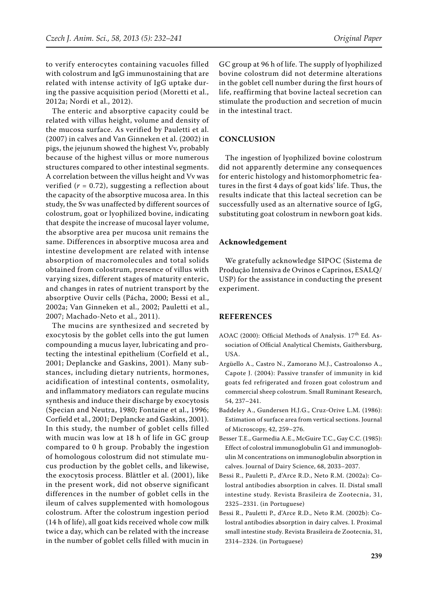to verify enterocytes containing vacuoles filled with colostrum and IgG immunostaining that are related with intense activity of IgG uptake during the passive acquisition period (Moretti et al., 2012a; Nordi et al., 2012).

The enteric and absorptive capacity could be related with villus height, volume and density of the mucosa surface. As verified by Pauletti et al. (2007) in calves and Van Ginneken et al. (2002) in pigs, the jejunum showed the highest Vv, probably because of the highest villus or more numerous structures compared to other intestinal segments. A correlation between the villus height and Vv was verified  $(r = 0.72)$ , suggesting a reflection about the capacity of the absorptive mucosa area. In this study, the Sv was unaffected by different sources of colostrum, goat or lyophilized bovine, indicating that despite the increase of mucosal layer volume, the absorptive area per mucosa unit remains the same. Differences in absorptive mucosa area and intestine development are related with intense absorption of macromolecules and total solids obtained from colostrum, presence of villus with varying sizes, different stages of maturity enteric, and changes in rates of nutrient transport by the absorptive Ouvir cells (Pácha, 2000; Bessi et al., 2002a; Van Ginneken et al., 2002; Pauletti et al., 2007; Machado-Neto et al., 2011).

The mucins are synthesized and secreted by exocytosis by the goblet cells into the gut lumen compounding a mucus layer, lubricating and protecting the intestinal epithelium (Corfield et al., 2001; Deplancke and Gaskins, 2001). Many substances, including dietary nutrients, hormones, acidification of intestinal contents, osmolality, and inflammatory mediators can regulate mucins synthesis and induce their discharge by exocytosis (Specian and Neutra, 1980; Fontaine et al., 1996; Corfield et al., 2001; Deplancke and Gaskins, 2001). In this study, the number of goblet cells filled with mucin was low at 18 h of life in GC group compared to 0 h group. Probably the ingestion of homologous colostrum did not stimulate mucus production by the goblet cells, and likewise, the exocytosis process. Blättler et al. (2001), like in the present work, did not observe significant differences in the number of goblet cells in the ileum of calves supplemented with homologous colostrum. After the colostrum ingestion period (14 h of life), all goat kids received whole cow milk twice a day, which can be related with the increase in the number of goblet cells filled with mucin in

GC group at 96 h of life. The supply of lyophilized bovine colostrum did not determine alterations in the goblet cell number during the first hours of life, reaffirming that bovine lacteal secretion can stimulate the production and secretion of mucin in the intestinal tract.

## **CONCLUSION**

The ingestion of lyophilized bovine colostrum did not apparently determine any consequences for enteric histology and histomorphometric features in the first 4 days of goat kids' life. Thus, the results indicate that this lacteal secretion can be successfully used as an alternative source of IgG, substituting goat colostrum in newborn goat kids.

#### **Acknowledgement**

We gratefully acknowledge SIPOC (Sistema de Produção Intensiva de Ovinos e Caprinos, ESALQ/ USP) for the assistance in conducting the present experiment.

#### **REFERENCES**

- AOAC (2000): Official Methods of Analysis. 17<sup>th</sup> Ed. Association of Official Analytical Chemists, Gaithersburg, USA.
- Argüello A., Castro N., Zamorano M.J., Castroalonso A., Capote J. (2004): Passive transfer of immunity in kid goats fed refrigerated and frozen goat colostrum and commercial sheep colostrum. Small Ruminant Research, 54, 237–241.
- Baddeley A., Gundersen H.J.G., Cruz-Orive L.M. (1986): Estimation of surface area from vertical sections. Journal of Microscopy, 42, 259–276.
- Besser T.E., Garmedia A.E., McGuire T.C., Gay C.C. (1985): Effect of colostral immunoglobulin G1 and immunoglobulin M concentrations on immunoglobulin absorption in calves. Journal of Dairy Science, 68, 2033–2037.
- Bessi R., Pauletti P., d'Arce R.D., Neto R.M. (2002a): Colostral antibodies absorption in calves. II. Distal small intestine study. Revista Brasileira de Zootecnia, 31, 2325–2331. (in Portuguese)
- Bessi R., Pauletti P., d'Arce R.D., Neto R.M. (2002b): Colostral antibodies absorption in dairy calves. I. Proximal small intestine study. Revista Brasileira de Zootecnia, 31, 2314–2324. (in Portuguese)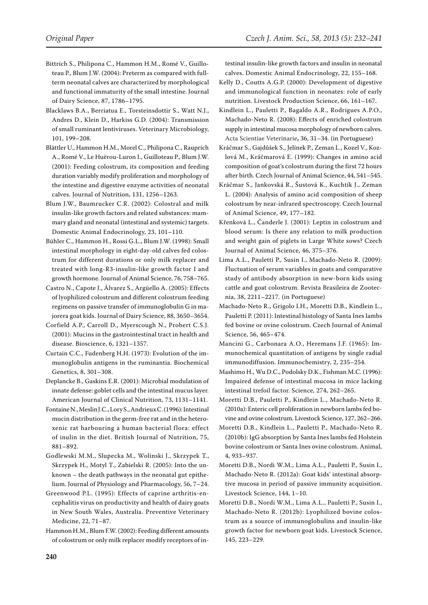- Bittrich S., Philipona C., Hammon H.M., Romé V., Guilloteau P., Blum J.W. (2004): Preterm as compared with fullterm neonatal calves are characterized by morphological and functional immaturity of the small intestine. Journal of Dairy Science, 87, 1786–1795.
- Blacklaws B.A., Berriatua E., Torsteinsdottir S., Watt N.J., Andres D., Klein D., Harkiss G.D. (2004): Transmission of small ruminant lentiviruses. Veterinary Microbiology, 101, 199–208.
- Blättler U., Hammon H.M., Morel C., Philipona C., Rauprich A., Romé V., Le Huërou-Luron I., Guilloteau P., Blum J.W. (2001): Feeding colostrum, its composition and feeding duration variably modify proliferation and morphology of the intestine and digestive enzyme activities of neonatal calves. Journal of Nutrition, 131, 1256–1263.
- Blum J.W., Baumrucker C.R. (2002): Colostral and milk insulin-like growth factors and related substances: mammary gland and neonatal (intestinal and systemic) targets. Domestic Animal Endocrinology, 23, 101–110.
- Bühler C., Hammon H., Rossi G.L., Blum J.W. (1998): Small intestinal morphology in eight-day-old calves fed colostrum for different durations or only milk replacer and treated with long-R3-insulin-like growth factor I and growth hormone. Journal of Animal Science, 76, 758–765.
- Castro N., Capote J., Álvarez S., Argüello A. (2005): Effects of lyophilized colostrum and different colostrum feeding regimens on passive transfer of immunoglobulin G in majorera goat kids. Journal of Dairy Science, 88, 3650–3654.
- Corfield A.P., Carroll D., Myerscough N., Probert C.S.J. (2001): Mucins in the gastrointestinal tract in health and disease. Bioscience, 6, 1321–1357.
- Curtain C.C., Fudenberg H.H. (1973): Evolution of the immunoglobulin antigens in the ruminantia. Biochemical Genetics, 8, 301–308.
- Deplancke B., Gaskins E.R. (2001): Microbial modulation of innate defense: goblet cells and the intestinal mucus layer. American Journal of Clinical Nutrition, 73, 1131–1141.
- Fontaine N., Meslin J.C., Lory S., Andrieux C. (1996): Intestinal mucin distribution in the germ-free rat and in the heteroxenic rat harbouring a human bacterial flora: effect of inulin in the diet. British Journal of Nutrition, 75, 881–892.
- Godlewski M.M., Slupecka M., Wolinski J., Skrzypek T., Skrzypek H., Motyl T., Zabielski R. (2005): Into the unknown – the death pathways in the neonatal gut epithelium. Journal of Physiology and Pharmacology, 56, 7–24.
- Greenwood P.L. (1995): Effects of caprine arthritis-encephalitis virus on productivity and health of dairy goats in New South Wales, Australia. Preventive Veterinary Medicine, 22, 71–87.
- Hammon H.M., Blum F.W. (2002): Feeding different amounts of colostrum or only milk replacer modify receptors of in-

testinal insulin-like growth factors and insulin in neonatal calves. Domestic Animal Endocrinology, 22, 155–168.

- Kelly D., Coutts A.G.P. (2000): Development of digestive and immunological function in neonates: role of early nutrition. Livestock Production Science, 66, 161–167.
- Kindlein L., Pauletti P., Bagaldo A.R., Rodrigues A.P.O., Machado-Neto R. (2008): Effects of enriched colostrum supply in intestinal mucosa morphology of newborn calves. Acta Scientiae Veterinarie**,** 36, 31–34. (in Portuguese)
- Kráčmar S., Gajdůšek S., Jelínek P., Zeman L., Kozel V., Kozlová M., Kráčmarová E. (1999): Changes in amino acid composition of goat's colostrum during the first 72 hours after birth. Czech Journal of Animal Science, 44, 541–545.
- Kráčmar S., Jankovská R., Šustová K., Kuchtík J., Zeman L. (2004): Analysis of amino acid composition of sheep colostrum by near-infrared spectroscopy. Czech Journal of Animal Science, 49, 177–182.
- Křenková L., Čanderle J. (2001): Leptin in colostrum and blood serum: Is there any relation to milk production and weight gain of piglets in Large White sows? Czech Journal of Animal Science, 46, 375–376.
- Lima A.L., Pauletti P., Susin I., Machado-Neto R. (2009): Fluctuation of serum variables in goats and comparative study of antibody absorption in new-born kids using cattle and goat colostrum. Revista Brasileira de Zootecnia, 38, 2211–2217. (in Portuguese)
- Machado-Neto R., Grigolo I.H., Moretti D.B., Kindlein L., Pauletti P. (2011): Intestinal histology of Santa Ines lambs fed bovine or ovine colostrum. Czech Journal of Animal Science, 56, 465–474.
- Mancini G., Carbonara A.O., Heremans J.F. (1965): Immunochemical quantitation of antigens by single radial immunodiffusion. Immunochemistry, 2, 235–254.
- Mashimo H., Wu D.C., Podolsky D.K., Fishman M.C. (1996): Impaired defense of intestinal mucosa in mice lacking intestinal trefoil factor. Science, 274, 262–265.
- Moretti D.B., Pauletti P., Kindlein L., Machado-Neto R. (2010a): Enteric cell proliferation in newborn lambs fed bovine and ovine colostrum. Livestock Science, 127, 262–266.
- Moretti D.B., Kindlein L., Pauletti P., Machado-Neto R. (2010b): IgG absorption by Santa Ines lambs fed Holstein bovine colostrum or Santa Ines ovine colostrum. Animal, 4, 933–937.
- Moretti D.B., Nordi W.M., Lima A.L., Pauletti P., Susin I., Machado-Neto R. (2012a): Goat kids' intestinal absorptive mucosa in period of passive immunity acquisition. Livestock Science, 144, 1–10.
- Moretti D.B., Nordi W.M., Lima A.L., Pauletti P., Susin I., Machado-Neto R. (2012b): Lyophilized bovine colostrum as a source of immunoglobulins and insulin-like growth factor for newborn goat kids. Livestock Science, 145, 223–229.